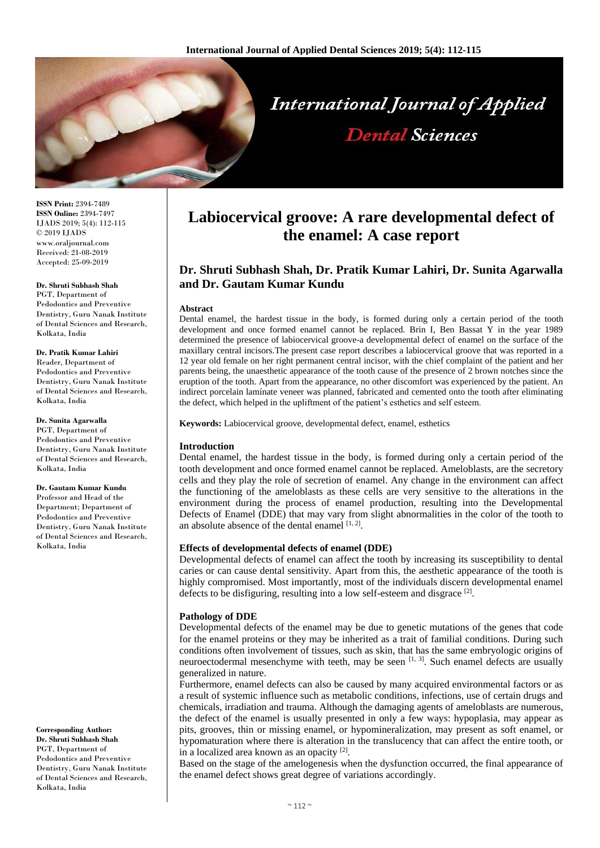

**ISSN Print:** 2394-7489 **ISSN Online:** 2394-7497 IJADS 2019; 5(4): 112-115 © 2019 IJADS www.oraljournal.com Received: 21-08-2019 Accepted: 25-09-2019

#### **Dr. Shruti Subhash Shah**

PGT, Department of Pedodontics and Preventive Dentistry, Guru Nanak Institute of Dental Sciences and Research, Kolkata, India

#### **Dr. Pratik Kumar Lahiri**

Reader, Department of Pedodontics and Preventive Dentistry, Guru Nanak Institute of Dental Sciences and Research, Kolkata, India

#### **Dr. Sunita Agarwalla**

PGT, Department of Pedodontics and Preventive Dentistry, Guru Nanak Institute of Dental Sciences and Research, Kolkata, India

# **Dr. Gautam Kumar Kundu** Professor and Head of the Department; Department of

Pedodontics and Preventive Dentistry, Guru Nanak Institute of Dental Sciences and Research, Kolkata, India

**Corresponding Author: Dr. Shruti Subhash Shah** PGT, Department of Pedodontics and Preventive Dentistry, Guru Nanak Institute of Dental Sciences and Research, Kolkata, India

# **Labiocervical groove: A rare developmental defect of the enamel: A case report**

# **Dr. Shruti Subhash Shah, Dr. Pratik Kumar Lahiri, Dr. Sunita Agarwalla and Dr. Gautam Kumar Kundu**

#### **Abstract**

Dental enamel, the hardest tissue in the body, is formed during only a certain period of the tooth development and once formed enamel cannot be replaced. Brin I, Ben Bassat Y in the year 1989 determined the presence of labiocervical groove-a developmental defect of enamel on the surface of the maxillary central incisors.The present case report describes a labiocervical groove that was reported in a 12 year old female on her right permanent central incisor, with the chief complaint of the patient and her parents being, the unaesthetic appearance of the tooth cause of the presence of 2 brown notches since the eruption of the tooth. Apart from the appearance, no other discomfort was experienced by the patient. An indirect porcelain lamínate veneer was planned, fabricated and cemented onto the tooth after eliminating the defect, which helped in the upliftment of the patient's esthetics and self esteem.

**Keywords:** Labiocervical groove, developmental defect, enamel, esthetics

#### **Introduction**

Dental enamel, the hardest tissue in the body, is formed during only a certain period of the tooth development and once formed enamel cannot be replaced. Ameloblasts, are the secretory cells and they play the role of secretion of enamel. Any change in the environment can affect the functioning of the ameloblasts as these cells are very sensitive to the alterations in the environment during the process of enamel production, resulting into the Developmental Defects of Enamel (DDE) that may vary from slight abnormalities in the color of the tooth to an absolute absence of the dental enamel  $[1, 2]$ .

# **Effects of developmental defects of enamel (DDE)**

Developmental defects of enamel can affect the tooth by increasing its susceptibility to dental caries or can cause dental sensitivity. Apart from this, the aesthetic appearance of the tooth is highly compromised. Most importantly, most of the individuals discern developmental enamel defects to be disfiguring, resulting into a low self-esteem and disgrace  $^{[2]}$ .

# **Pathology of DDE**

Developmental defects of the enamel may be due to genetic mutations of the genes that code for the enamel proteins or they may be inherited as a trait of familial conditions. During such conditions often involvement of tissues, such as skin, that has the same embryologic origins of neuroectodermal mesenchyme with teeth, may be seen  $[1, 3]$ . Such enamel defects are usually generalized in nature.

Furthermore, enamel defects can also be caused by many acquired environmental factors or as a result of systemic influence such as metabolic conditions, infections, use of certain drugs and chemicals, irradiation and trauma. Although the damaging agents of ameloblasts are numerous, the defect of the enamel is usually presented in only a few ways: hypoplasia, may appear as pits, grooves, thin or missing enamel, or hypomineralization, may present as soft enamel, or hypomaturation where there is alteration in the translucency that can affect the entire tooth, or in a localized area known as an opacity [2].

Based on the stage of the amelogenesis when the dysfunction occurred, the final appearance of the enamel defect shows great degree of variations accordingly.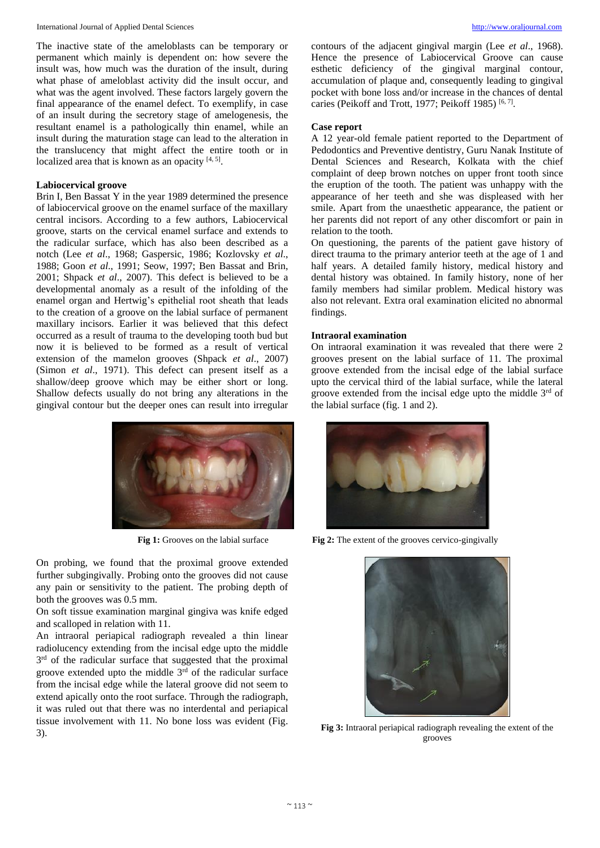#### International Journal of Applied Dental Sciences [http://www.oraljournal.com](http://www.oraljournal.com/)

The inactive state of the ameloblasts can be temporary or permanent which mainly is dependent on: how severe the insult was, how much was the duration of the insult, during what phase of ameloblast activity did the insult occur, and what was the agent involved. These factors largely govern the final appearance of the enamel defect. To exemplify, in case of an insult during the secretory stage of amelogenesis, the resultant enamel is a pathologically thin enamel, while an insult during the maturation stage can lead to the alteration in the translucency that might affect the entire tooth or in localized area that is known as an opacity  $[4, 5]$ .

#### **Labiocervical groove**

Brin I, Ben Bassat Y in the year 1989 determined the presence of labiocervical groove on the enamel surface of the maxillary central incisors. According to a few authors, Labiocervical groove, starts on the cervical enamel surface and extends to the radicular surface, which has also been described as a notch (Lee *et al*., 1968; Gaspersic, 1986; Kozlovsky *et al*., 1988; Goon *et al*., 1991; Seow, 1997; Ben Bassat and Brin, 2001; Shpack *et al*., 2007). This defect is believed to be a developmental anomaly as a result of the infolding of the enamel organ and Hertwig's epithelial root sheath that leads to the creation of a groove on the labial surface of permanent maxillary incisors. Earlier it was believed that this defect occurred as a result of trauma to the developing tooth bud but now it is believed to be formed as a result of vertical extension of the mamelon grooves (Shpack *et al*., 2007) (Simon *et al*., 1971). This defect can present itself as a shallow/deep groove which may be either short or long. Shallow defects usually do not bring any alterations in the gingival contour but the deeper ones can result into irregular



On probing, we found that the proximal groove extended further subgingivally. Probing onto the grooves did not cause any pain or sensitivity to the patient. The probing depth of both the grooves was 0.5 mm.

On soft tissue examination marginal gingiva was knife edged and scalloped in relation with 11.

An intraoral periapical radiograph revealed a thin linear radiolucency extending from the incisal edge upto the middle 3<sup>rd</sup> of the radicular surface that suggested that the proximal groove extended upto the middle  $3<sup>rd</sup>$  of the radicular surface from the incisal edge while the lateral groove did not seem to extend apically onto the root surface. Through the radiograph, it was ruled out that there was no interdental and periapical tissue involvement with 11. No bone loss was evident (Fig. External periapical radiograph revealing the extent of the<br>3). **Fig 3:** Intraoral periapical radiograph revealing the extent of the

contours of the adjacent gingival margin (Lee *et al*., 1968). Hence the presence of Labiocervical Groove can cause esthetic deficiency of the gingival marginal contour, accumulation of plaque and, consequently leading to gingival pocket with bone loss and/or increase in the chances of dental caries (Peikoff and Trott, 1977; Peikoff 1985)<sup>[6, 7]</sup>.

#### **Case report**

A 12 year-old female patient reported to the Department of Pedodontics and Preventive dentistry, Guru Nanak Institute of Dental Sciences and Research, Kolkata with the chief complaint of deep brown notches on upper front tooth since the eruption of the tooth. The patient was unhappy with the appearance of her teeth and she was displeased with her smile. Apart from the unaesthetic appearance, the patient or her parents did not report of any other discomfort or pain in relation to the tooth.

On questioning, the parents of the patient gave history of direct trauma to the primary anterior teeth at the age of 1 and half years. A detailed family history, medical history and dental history was obtained. In family history, none of her family members had similar problem. Medical history was also not relevant. Extra oral examination elicited no abnormal findings.

#### **Intraoral examination**

On intraoral examination it was revealed that there were 2 grooves present on the labial surface of 11. The proximal groove extended from the incisal edge of the labial surface upto the cervical third of the labial surface, while the lateral groove extended from the incisal edge upto the middle  $3<sup>rd</sup>$  of the labial surface (fig. 1 and 2).



**Fig 1:** Grooves on the labial surface **Fig 2:** The extent of the grooves cervico-gingivally



grooves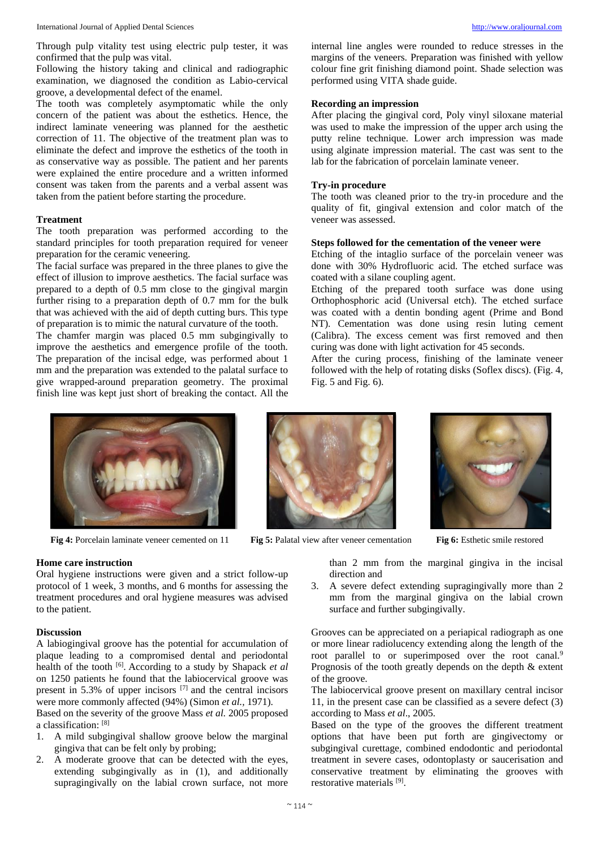Following the history taking and clinical and radiographic examination, we diagnosed the condition as Labio-cervical groove, a developmental defect of the enamel.

The tooth was completely asymptomatic while the only concern of the patient was about the esthetics. Hence, the indirect laminate veneering was planned for the aesthetic correction of 11. The objective of the treatment plan was to eliminate the defect and improve the esthetics of the tooth in as conservative way as possible. The patient and her parents were explained the entire procedure and a written informed consent was taken from the parents and a verbal assent was taken from the patient before starting the procedure.

# **Treatment**

The tooth preparation was performed according to the standard principles for tooth preparation required for veneer preparation for the ceramic veneering.

The facial surface was prepared in the three planes to give the effect of illusion to improve aesthetics. The facial surface was prepared to a depth of 0.5 mm close to the gingival margin further rising to a preparation depth of 0.7 mm for the bulk that was achieved with the aid of depth cutting burs. This type of preparation is to mimic the natural curvature of the tooth.

The chamfer margin was placed 0.5 mm subgingivally to improve the aesthetics and emergence profile of the tooth. The preparation of the incisal edge, was performed about 1 mm and the preparation was extended to the palatal surface to give wrapped-around preparation geometry. The proximal finish line was kept just short of breaking the contact. All the internal line angles were rounded to reduce stresses in the margins of the veneers. Preparation was finished with yellow colour fine grit finishing diamond point. Shade selection was performed using VITA shade guide.

# **Recording an impression**

After placing the gingival cord, Poly vinyl siloxane material was used to make the impression of the upper arch using the putty reline technique. Lower arch impression was made using alginate impression material. The cast was sent to the lab for the fabrication of porcelain laminate veneer.

# **Try-in procedure**

The tooth was cleaned prior to the try-in procedure and the quality of fit, gingival extension and color match of the veneer was assessed.

# **Steps followed for the cementation of the veneer were**

Etching of the intaglio surface of the porcelain veneer was done with 30% Hydrofluoric acid. The etched surface was coated with a silane coupling agent.

Etching of the prepared tooth surface was done using Orthophosphoric acid (Universal etch). The etched surface was coated with a dentin bonding agent (Prime and Bond NT). Cementation was done using resin luting cement (Calibra). The excess cement was first removed and then curing was done with light activation for 45 seconds.

After the curing process, finishing of the laminate veneer followed with the help of rotating disks (Soflex discs). (Fig. 4, Fig. 5 and Fig. 6).



**Fig 4:** Porcelain laminate veneer cemented on 11 **Fig 5:** Palatal view after veneer cementation **Fig 6:** Esthetic smile restored

# **Home care instruction**

Oral hygiene instructions were given and a strict follow-up protocol of 1 week, 3 months, and 6 months for assessing the treatment procedures and oral hygiene measures was advised to the patient.

# **Discussion**

A labiogingival groove has the potential for accumulation of plaque leading to a compromised dental and periodontal health of the tooth [6] . According to a study by Shapack *et al* on 1250 patients he found that the labiocervical groove was present in 5.3% of upper incisors  $[7]$  and the central incisors were more commonly affected (94%) (Simon *et al.,* 1971). Based on the severity of the groove Mass *et al.* 2005 proposed

a classification: [8]

- 1. A mild subgingival shallow groove below the marginal gingiva that can be felt only by probing;
- 2. A moderate groove that can be detected with the eyes, extending subgingivally as in (1), and additionally supragingivally on the labial crown surface, not more





than 2 mm from the marginal gingiva in the incisal direction and

3. A severe defect extending supragingivally more than 2 mm from the marginal gingiva on the labial crown surface and further subgingivally.

Grooves can be appreciated on a periapical radiograph as one or more linear radiolucency extending along the length of the root parallel to or superimposed over the root canal.<sup>9</sup> Prognosis of the tooth greatly depends on the depth & extent of the groove.

The labiocervical groove present on maxillary central incisor 11, in the present case can be classified as a severe defect (3) according to Mass *et al*., 2005.

Based on the type of the grooves the different treatment options that have been put forth are gingivectomy or subgingival curettage, combined endodontic and periodontal treatment in severe cases, odontoplasty or saucerisation and conservative treatment by eliminating the grooves with restorative materials [9] .